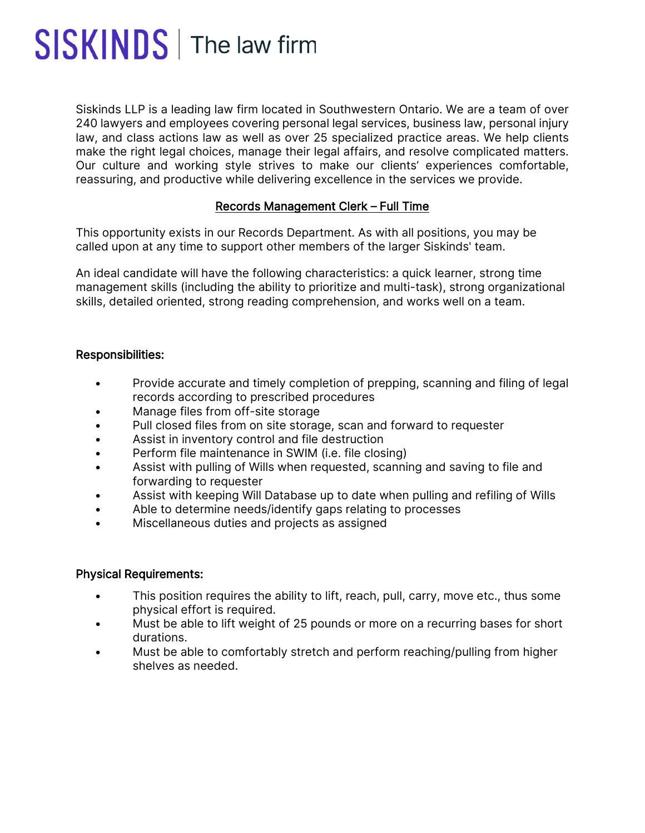# SISKINDS | The law firm

Siskinds LLP is a leading law firm located in Southwestern Ontario. We are a team of over 240 lawyers and employees covering personal legal services, business law, personal injury law, and class actions law as well as over 25 specialized practice areas. We help clients make the right legal choices, manage their legal affairs, and resolve complicated matters. Our culture and working style strives to make our clients' experiences comfortable, reassuring, and productive while delivering excellence in the services we provide.

## Records Management Clerk – Full Time

This opportunity exists in our Records Department. As with all positions, you may be called upon at any time to support other members of the larger Siskinds' team.

An ideal candidate will have the following characteristics: a quick learner, strong time management skills (including the ability to prioritize and multi-task), strong organizational skills, detailed oriented, strong reading comprehension, and works well on a team.

## Responsibilities:

- Provide accurate and timely completion of prepping, scanning and filing of legal records according to prescribed procedures
- Manage files from off-site storage
- Pull closed files from on site storage, scan and forward to requester
- Assist in inventory control and file destruction
- Perform file maintenance in SWIM (i.e. file closing)
- Assist with pulling of Wills when requested, scanning and saving to file and forwarding to requester
- Assist with keeping Will Database up to date when pulling and refiling of Wills
- Able to determine needs/identify gaps relating to processes
- Miscellaneous duties and projects as assigned

#### Physical Requirements:

- This position requires the ability to lift, reach, pull, carry, move etc., thus some physical effort is required.
- Must be able to lift weight of 25 pounds or more on a recurring bases for short durations.
- Must be able to comfortably stretch and perform reaching/pulling from higher shelves as needed.